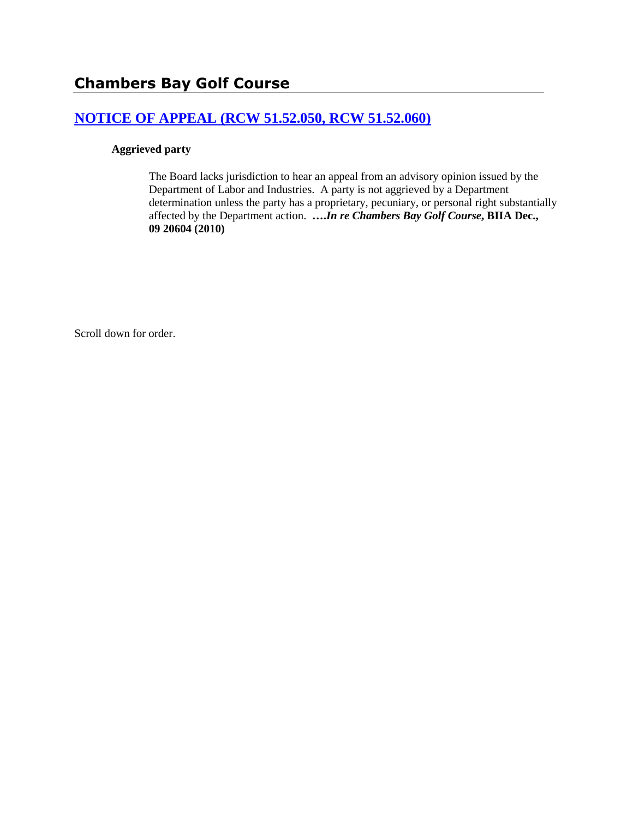## **[NOTICE OF APPEAL \(RCW 51.52.050, RCW 51.52.060\)](http://www.biia.wa.gov/SDSubjectIndex.html#NOTICE_OF_APPEAL)**

## **Aggrieved party**

The Board lacks jurisdiction to hear an appeal from an advisory opinion issued by the Department of Labor and Industries. A party is not aggrieved by a Department determination unless the party has a proprietary, pecuniary, or personal right substantially affected by the Department action. **….***In re Chambers Bay Golf Course***, BIIA Dec., 09 20604 (2010)**

Scroll down for order.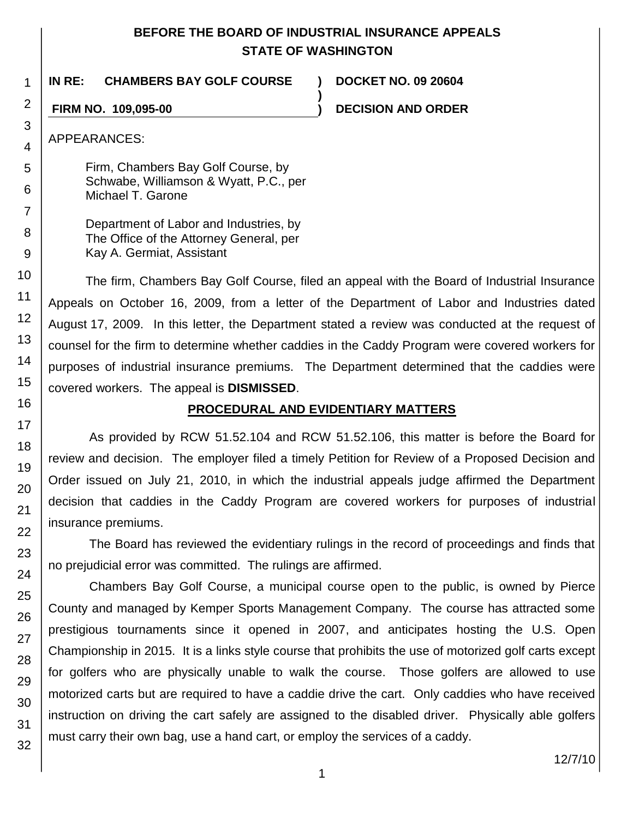## **BEFORE THE BOARD OF INDUSTRIAL INSURANCE APPEALS STATE OF WASHINGTON**

**)**

**IN RE: CHAMBERS BAY GOLF COURSE ) DOCKET NO. 09 20604**

**FIRM NO. 109,095-00 ) DECISION AND ORDER**

APPEARANCES:

Firm, Chambers Bay Golf Course, by Schwabe, Williamson & Wyatt, P.C., per Michael T. Garone

Department of Labor and Industries, by The Office of the Attorney General, per Kay A. Germiat, Assistant

The firm, Chambers Bay Golf Course, filed an appeal with the Board of Industrial Insurance Appeals on October 16, 2009, from a letter of the Department of Labor and Industries dated August 17, 2009. In this letter, the Department stated a review was conducted at the request of counsel for the firm to determine whether caddies in the Caddy Program were covered workers for purposes of industrial insurance premiums. The Department determined that the caddies were covered workers. The appeal is **DISMISSED**.

## **PROCEDURAL AND EVIDENTIARY MATTERS**

As provided by RCW 51.52.104 and RCW 51.52.106, this matter is before the Board for review and decision. The employer filed a timely Petition for Review of a Proposed Decision and Order issued on July 21, 2010, in which the industrial appeals judge affirmed the Department decision that caddies in the Caddy Program are covered workers for purposes of industrial insurance premiums.

The Board has reviewed the evidentiary rulings in the record of proceedings and finds that no prejudicial error was committed. The rulings are affirmed.

Chambers Bay Golf Course, a municipal course open to the public, is owned by Pierce County and managed by Kemper Sports Management Company. The course has attracted some prestigious tournaments since it opened in 2007, and anticipates hosting the U.S. Open Championship in 2015. It is a links style course that prohibits the use of motorized golf carts except for golfers who are physically unable to walk the course. Those golfers are allowed to use motorized carts but are required to have a caddie drive the cart. Only caddies who have received instruction on driving the cart safely are assigned to the disabled driver. Physically able golfers must carry their own bag, use a hand cart, or employ the services of a caddy.

12/7/10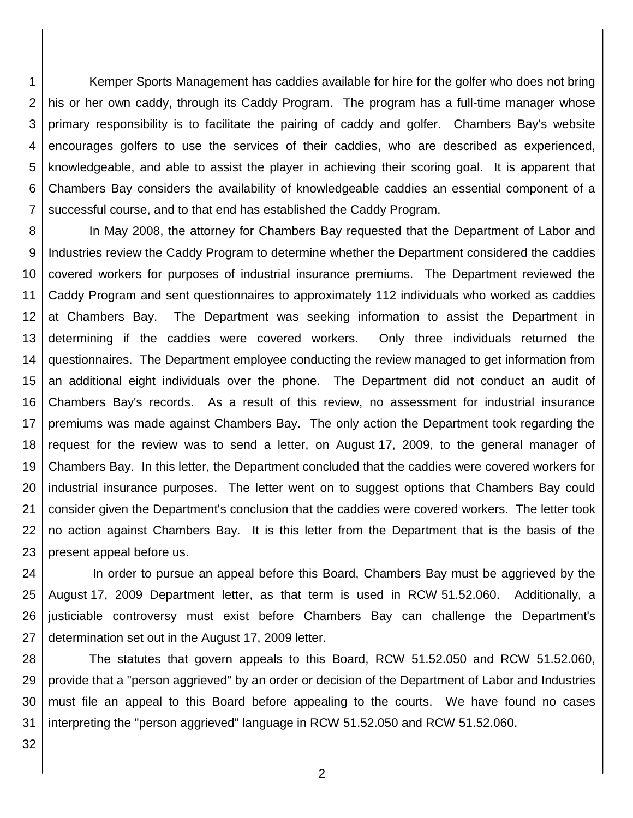1 2 3 4 5 6 7 Kemper Sports Management has caddies available for hire for the golfer who does not bring his or her own caddy, through its Caddy Program. The program has a full-time manager whose primary responsibility is to facilitate the pairing of caddy and golfer. Chambers Bay's website encourages golfers to use the services of their caddies, who are described as experienced, knowledgeable, and able to assist the player in achieving their scoring goal. It is apparent that Chambers Bay considers the availability of knowledgeable caddies an essential component of a successful course, and to that end has established the Caddy Program.

8 9 10 11 12 13 14 15 16 17 18 19 20 21 22 23 In May 2008, the attorney for Chambers Bay requested that the Department of Labor and Industries review the Caddy Program to determine whether the Department considered the caddies covered workers for purposes of industrial insurance premiums. The Department reviewed the Caddy Program and sent questionnaires to approximately 112 individuals who worked as caddies at Chambers Bay. The Department was seeking information to assist the Department in determining if the caddies were covered workers. Only three individuals returned the questionnaires. The Department employee conducting the review managed to get information from an additional eight individuals over the phone. The Department did not conduct an audit of Chambers Bay's records. As a result of this review, no assessment for industrial insurance premiums was made against Chambers Bay. The only action the Department took regarding the request for the review was to send a letter, on August 17, 2009, to the general manager of Chambers Bay. In this letter, the Department concluded that the caddies were covered workers for industrial insurance purposes. The letter went on to suggest options that Chambers Bay could consider given the Department's conclusion that the caddies were covered workers. The letter took no action against Chambers Bay. It is this letter from the Department that is the basis of the present appeal before us.

24 25 26 27 In order to pursue an appeal before this Board, Chambers Bay must be aggrieved by the August 17, 2009 Department letter, as that term is used in RCW 51.52.060. Additionally, a justiciable controversy must exist before Chambers Bay can challenge the Department's determination set out in the August 17, 2009 letter.

28 29 30 31 The statutes that govern appeals to this Board, RCW 51.52.050 and RCW 51.52.060, provide that a "person aggrieved" by an order or decision of the Department of Labor and Industries must file an appeal to this Board before appealing to the courts. We have found no cases interpreting the "person aggrieved" language in RCW 51.52.050 and RCW 51.52.060.

32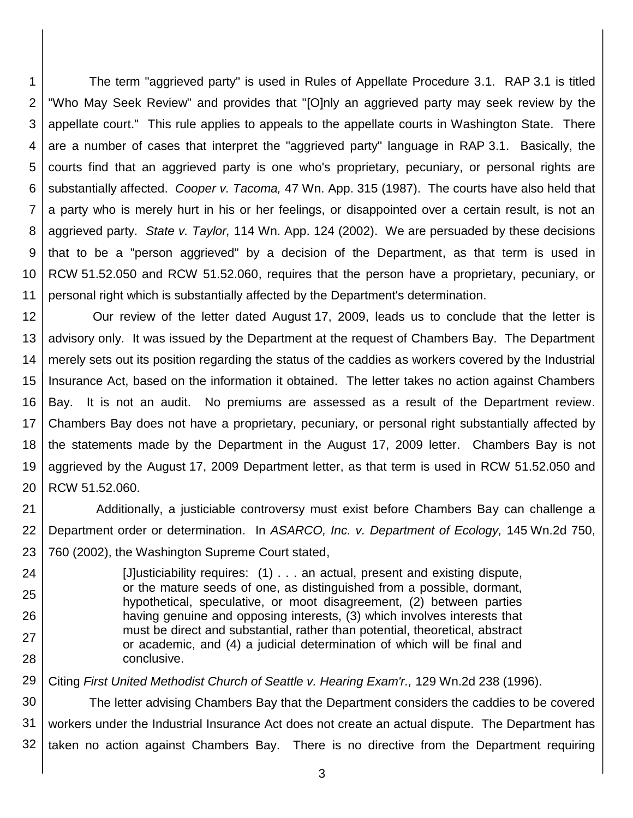1 2 3 4 5 6 7 8 9 10 11 The term "aggrieved party" is used in Rules of Appellate Procedure 3.1. RAP 3.1 is titled "Who May Seek Review" and provides that "[O]nly an aggrieved party may seek review by the appellate court." This rule applies to appeals to the appellate courts in Washington State. There are a number of cases that interpret the "aggrieved party" language in RAP 3.1. Basically, the courts find that an aggrieved party is one who's proprietary, pecuniary, or personal rights are substantially affected. *Cooper v. Tacoma,* 47 Wn. App. 315 (1987). The courts have also held that a party who is merely hurt in his or her feelings, or disappointed over a certain result, is not an aggrieved party. *State v. Taylor,* 114 Wn. App. 124 (2002). We are persuaded by these decisions that to be a "person aggrieved" by a decision of the Department, as that term is used in RCW 51.52.050 and RCW 51.52.060, requires that the person have a proprietary, pecuniary, or personal right which is substantially affected by the Department's determination.

12 13 14 15 16 17 18 19 20 Our review of the letter dated August 17, 2009, leads us to conclude that the letter is advisory only. It was issued by the Department at the request of Chambers Bay. The Department merely sets out its position regarding the status of the caddies as workers covered by the Industrial Insurance Act, based on the information it obtained. The letter takes no action against Chambers Bay. It is not an audit. No premiums are assessed as a result of the Department review. Chambers Bay does not have a proprietary, pecuniary, or personal right substantially affected by the statements made by the Department in the August 17, 2009 letter. Chambers Bay is not aggrieved by the August 17, 2009 Department letter, as that term is used in RCW 51.52.050 and RCW 51.52.060.

21 22 23 Additionally, a justiciable controversy must exist before Chambers Bay can challenge a Department order or determination. In *ASARCO, Inc. v. Department of Ecology,* 145 Wn.2d 750, 760 (2002), the Washington Supreme Court stated,

24 25 26 27 28 [J]usticiability requires: (1) . . . an actual, present and existing dispute, or the mature seeds of one, as distinguished from a possible, dormant, hypothetical, speculative, or moot disagreement, (2) between parties having genuine and opposing interests, (3) which involves interests that must be direct and substantial, rather than potential, theoretical, abstract or academic, and (4) a judicial determination of which will be final and conclusive.

29 Citing *First United Methodist Church of Seattle v. Hearing Exam'r.,* 129 Wn.2d 238 (1996).

30 31 32 The letter advising Chambers Bay that the Department considers the caddies to be covered workers under the Industrial Insurance Act does not create an actual dispute. The Department has taken no action against Chambers Bay. There is no directive from the Department requiring